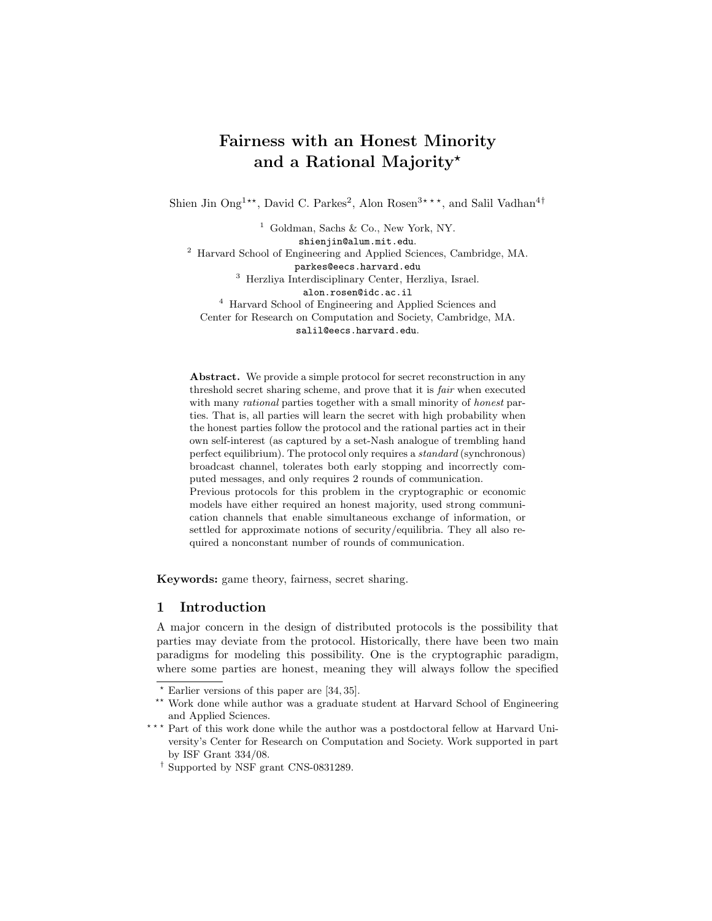# Fairness with an Honest Minority and a Rational Majority<sup>\*</sup>

Shien Jin  $\text{Ong}^{1**}$ , David C. Parkes<sup>2</sup>, Alon Rosen<sup>3\*\*\*</sup>, and Salil Vadhan<sup>4†</sup>

 $1$  Goldman, Sachs & Co., New York, NY. shienjin@alum.mit.edu. <sup>2</sup> Harvard School of Engineering and Applied Sciences, Cambridge, MA. parkes@eecs.harvard.edu <sup>3</sup> Herzliya Interdisciplinary Center, Herzliya, Israel. alon.rosen@idc.ac.il <sup>4</sup> Harvard School of Engineering and Applied Sciences and Center for Research on Computation and Society, Cambridge, MA. salil@eecs.harvard.edu.

Abstract. We provide a simple protocol for secret reconstruction in any threshold secret sharing scheme, and prove that it is fair when executed with many *rational* parties together with a small minority of *honest* parties. That is, all parties will learn the secret with high probability when the honest parties follow the protocol and the rational parties act in their own self-interest (as captured by a set-Nash analogue of trembling hand perfect equilibrium). The protocol only requires a standard (synchronous) broadcast channel, tolerates both early stopping and incorrectly computed messages, and only requires 2 rounds of communication. Previous protocols for this problem in the cryptographic or economic models have either required an honest majority, used strong communication channels that enable simultaneous exchange of information, or settled for approximate notions of security/equilibria. They all also required a nonconstant number of rounds of communication.

Keywords: game theory, fairness, secret sharing.

# 1 Introduction

A major concern in the design of distributed protocols is the possibility that parties may deviate from the protocol. Historically, there have been two main paradigms for modeling this possibility. One is the cryptographic paradigm, where some parties are honest, meaning they will always follow the specified

 $*$  Earlier versions of this paper are [34, 35].

<sup>\*\*</sup> Work done while author was a graduate student at Harvard School of Engineering and Applied Sciences.

<sup>\*\*\*</sup> Part of this work done while the author was a postdoctoral fellow at Harvard University's Center for Research on Computation and Society. Work supported in part by ISF Grant 334/08.

<sup>†</sup> Supported by NSF grant CNS-0831289.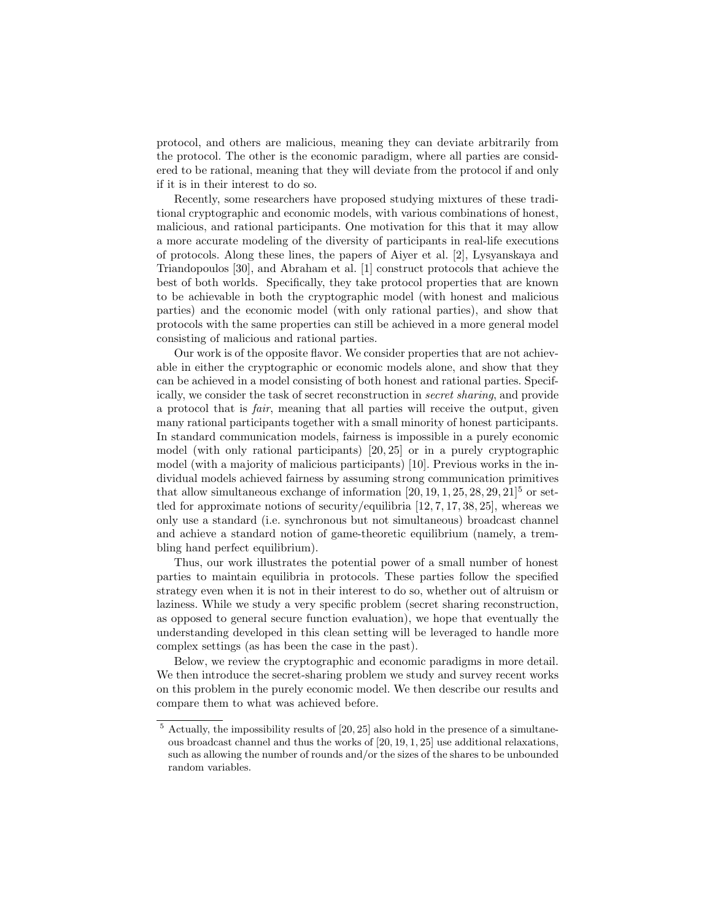protocol, and others are malicious, meaning they can deviate arbitrarily from the protocol. The other is the economic paradigm, where all parties are considered to be rational, meaning that they will deviate from the protocol if and only if it is in their interest to do so.

Recently, some researchers have proposed studying mixtures of these traditional cryptographic and economic models, with various combinations of honest, malicious, and rational participants. One motivation for this that it may allow a more accurate modeling of the diversity of participants in real-life executions of protocols. Along these lines, the papers of Aiyer et al. [2], Lysyanskaya and Triandopoulos [30], and Abraham et al. [1] construct protocols that achieve the best of both worlds. Specifically, they take protocol properties that are known to be achievable in both the cryptographic model (with honest and malicious parties) and the economic model (with only rational parties), and show that protocols with the same properties can still be achieved in a more general model consisting of malicious and rational parties.

Our work is of the opposite flavor. We consider properties that are not achievable in either the cryptographic or economic models alone, and show that they can be achieved in a model consisting of both honest and rational parties. Specifically, we consider the task of secret reconstruction in secret sharing, and provide a protocol that is fair, meaning that all parties will receive the output, given many rational participants together with a small minority of honest participants. In standard communication models, fairness is impossible in a purely economic model (with only rational participants) [20, 25] or in a purely cryptographic model (with a majority of malicious participants) [10]. Previous works in the individual models achieved fairness by assuming strong communication primitives that allow simultaneous exchange of information  $[20, 19, 1, 25, 28, 29, 21]^5$  or settled for approximate notions of security/equilibria [12, 7, 17, 38, 25], whereas we only use a standard (i.e. synchronous but not simultaneous) broadcast channel and achieve a standard notion of game-theoretic equilibrium (namely, a trembling hand perfect equilibrium).

Thus, our work illustrates the potential power of a small number of honest parties to maintain equilibria in protocols. These parties follow the specified strategy even when it is not in their interest to do so, whether out of altruism or laziness. While we study a very specific problem (secret sharing reconstruction, as opposed to general secure function evaluation), we hope that eventually the understanding developed in this clean setting will be leveraged to handle more complex settings (as has been the case in the past).

Below, we review the cryptographic and economic paradigms in more detail. We then introduce the secret-sharing problem we study and survey recent works on this problem in the purely economic model. We then describe our results and compare them to what was achieved before.

 $5$  Actually, the impossibility results of  $[20, 25]$  also hold in the presence of a simultaneous broadcast channel and thus the works of [20, 19, 1, 25] use additional relaxations, such as allowing the number of rounds and/or the sizes of the shares to be unbounded random variables.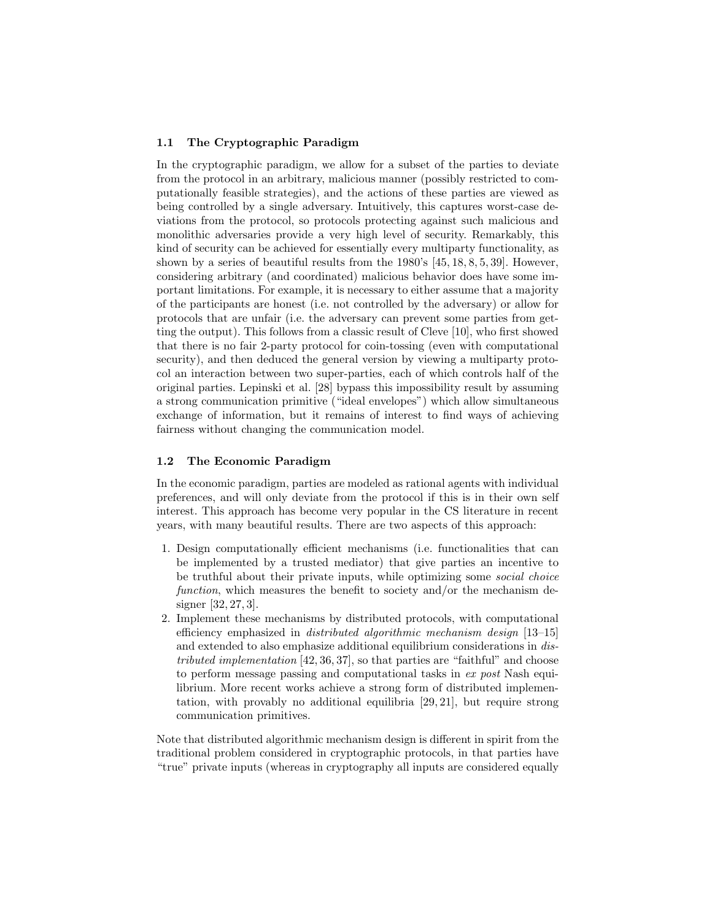## 1.1 The Cryptographic Paradigm

In the cryptographic paradigm, we allow for a subset of the parties to deviate from the protocol in an arbitrary, malicious manner (possibly restricted to computationally feasible strategies), and the actions of these parties are viewed as being controlled by a single adversary. Intuitively, this captures worst-case deviations from the protocol, so protocols protecting against such malicious and monolithic adversaries provide a very high level of security. Remarkably, this kind of security can be achieved for essentially every multiparty functionality, as shown by a series of beautiful results from the 1980's [45, 18, 8, 5, 39]. However, considering arbitrary (and coordinated) malicious behavior does have some important limitations. For example, it is necessary to either assume that a majority of the participants are honest (i.e. not controlled by the adversary) or allow for protocols that are unfair (i.e. the adversary can prevent some parties from getting the output). This follows from a classic result of Cleve [10], who first showed that there is no fair 2-party protocol for coin-tossing (even with computational security), and then deduced the general version by viewing a multiparty protocol an interaction between two super-parties, each of which controls half of the original parties. Lepinski et al. [28] bypass this impossibility result by assuming a strong communication primitive ("ideal envelopes") which allow simultaneous exchange of information, but it remains of interest to find ways of achieving fairness without changing the communication model.

# 1.2 The Economic Paradigm

In the economic paradigm, parties are modeled as rational agents with individual preferences, and will only deviate from the protocol if this is in their own self interest. This approach has become very popular in the CS literature in recent years, with many beautiful results. There are two aspects of this approach:

- 1. Design computationally efficient mechanisms (i.e. functionalities that can be implemented by a trusted mediator) that give parties an incentive to be truthful about their private inputs, while optimizing some social choice function, which measures the benefit to society and/or the mechanism designer [32, 27, 3].
- 2. Implement these mechanisms by distributed protocols, with computational efficiency emphasized in distributed algorithmic mechanism design [13–15] and extended to also emphasize additional equilibrium considerations in distributed implementation [42, 36, 37], so that parties are "faithful" and choose to perform message passing and computational tasks in ex post Nash equilibrium. More recent works achieve a strong form of distributed implementation, with provably no additional equilibria [29, 21], but require strong communication primitives.

Note that distributed algorithmic mechanism design is different in spirit from the traditional problem considered in cryptographic protocols, in that parties have "true" private inputs (whereas in cryptography all inputs are considered equally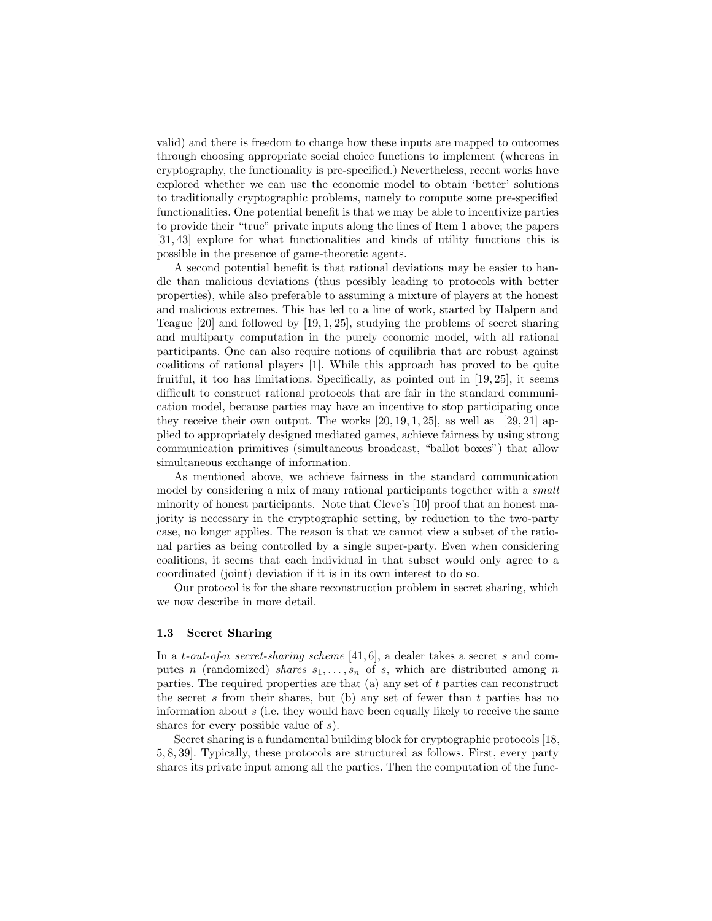valid) and there is freedom to change how these inputs are mapped to outcomes through choosing appropriate social choice functions to implement (whereas in cryptography, the functionality is pre-specified.) Nevertheless, recent works have explored whether we can use the economic model to obtain 'better' solutions to traditionally cryptographic problems, namely to compute some pre-specified functionalities. One potential benefit is that we may be able to incentivize parties to provide their "true" private inputs along the lines of Item 1 above; the papers [31, 43] explore for what functionalities and kinds of utility functions this is possible in the presence of game-theoretic agents.

A second potential benefit is that rational deviations may be easier to handle than malicious deviations (thus possibly leading to protocols with better properties), while also preferable to assuming a mixture of players at the honest and malicious extremes. This has led to a line of work, started by Halpern and Teague [20] and followed by [19, 1, 25], studying the problems of secret sharing and multiparty computation in the purely economic model, with all rational participants. One can also require notions of equilibria that are robust against coalitions of rational players [1]. While this approach has proved to be quite fruitful, it too has limitations. Specifically, as pointed out in [19, 25], it seems difficult to construct rational protocols that are fair in the standard communication model, because parties may have an incentive to stop participating once they receive their own output. The works  $[20, 19, 1, 25]$ , as well as  $[29, 21]$  applied to appropriately designed mediated games, achieve fairness by using strong communication primitives (simultaneous broadcast, "ballot boxes") that allow simultaneous exchange of information.

As mentioned above, we achieve fairness in the standard communication model by considering a mix of many rational participants together with a *small* minority of honest participants. Note that Cleve's [10] proof that an honest majority is necessary in the cryptographic setting, by reduction to the two-party case, no longer applies. The reason is that we cannot view a subset of the rational parties as being controlled by a single super-party. Even when considering coalitions, it seems that each individual in that subset would only agree to a coordinated (joint) deviation if it is in its own interest to do so.

Our protocol is for the share reconstruction problem in secret sharing, which we now describe in more detail.

### 1.3 Secret Sharing

In a t-out-of-n secret-sharing scheme [41, 6], a dealer takes a secret s and computes n (randomized) shares  $s_1, \ldots, s_n$  of s, which are distributed among n parties. The required properties are that (a) any set of t parties can reconstruct the secret s from their shares, but (b) any set of fewer than  $t$  parties has no information about  $s$  (i.e. they would have been equally likely to receive the same shares for every possible value of s).

Secret sharing is a fundamental building block for cryptographic protocols [18, 5, 8, 39]. Typically, these protocols are structured as follows. First, every party shares its private input among all the parties. Then the computation of the func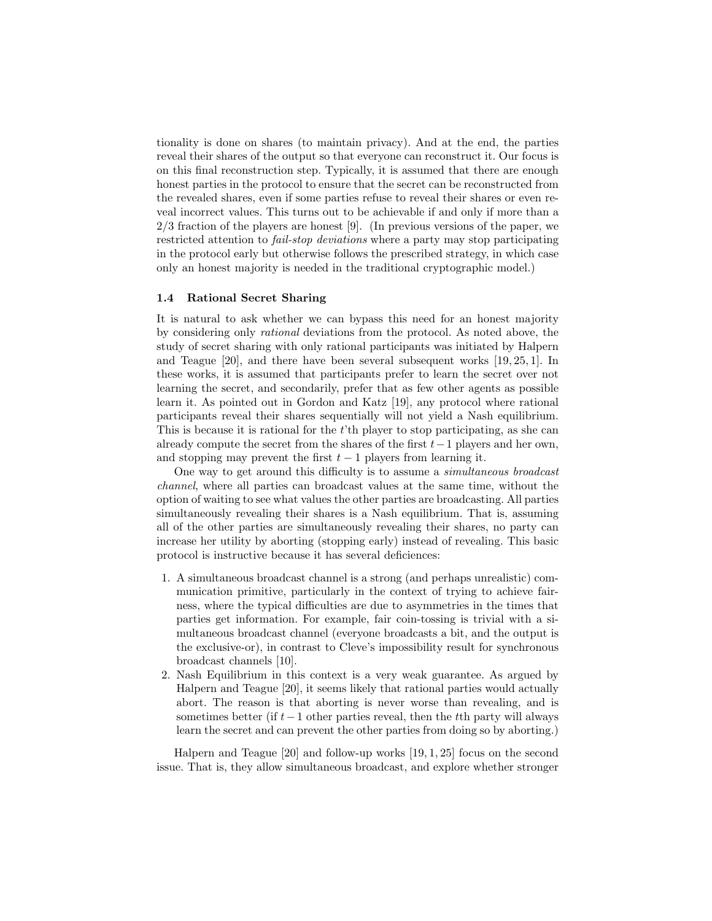tionality is done on shares (to maintain privacy). And at the end, the parties reveal their shares of the output so that everyone can reconstruct it. Our focus is on this final reconstruction step. Typically, it is assumed that there are enough honest parties in the protocol to ensure that the secret can be reconstructed from the revealed shares, even if some parties refuse to reveal their shares or even reveal incorrect values. This turns out to be achievable if and only if more than a  $2/3$  fraction of the players are honest [9]. (In previous versions of the paper, we restricted attention to fail-stop deviations where a party may stop participating in the protocol early but otherwise follows the prescribed strategy, in which case only an honest majority is needed in the traditional cryptographic model.)

## 1.4 Rational Secret Sharing

It is natural to ask whether we can bypass this need for an honest majority by considering only rational deviations from the protocol. As noted above, the study of secret sharing with only rational participants was initiated by Halpern and Teague [20], and there have been several subsequent works [19, 25, 1]. In these works, it is assumed that participants prefer to learn the secret over not learning the secret, and secondarily, prefer that as few other agents as possible learn it. As pointed out in Gordon and Katz [19], any protocol where rational participants reveal their shares sequentially will not yield a Nash equilibrium. This is because it is rational for the  $t$ 'th player to stop participating, as she can already compute the secret from the shares of the first  $t-1$  players and her own, and stopping may prevent the first  $t - 1$  players from learning it.

One way to get around this difficulty is to assume a simultaneous broadcast channel, where all parties can broadcast values at the same time, without the option of waiting to see what values the other parties are broadcasting. All parties simultaneously revealing their shares is a Nash equilibrium. That is, assuming all of the other parties are simultaneously revealing their shares, no party can increase her utility by aborting (stopping early) instead of revealing. This basic protocol is instructive because it has several deficiences:

- 1. A simultaneous broadcast channel is a strong (and perhaps unrealistic) communication primitive, particularly in the context of trying to achieve fairness, where the typical difficulties are due to asymmetries in the times that parties get information. For example, fair coin-tossing is trivial with a simultaneous broadcast channel (everyone broadcasts a bit, and the output is the exclusive-or), in contrast to Cleve's impossibility result for synchronous broadcast channels [10].
- 2. Nash Equilibrium in this context is a very weak guarantee. As argued by Halpern and Teague [20], it seems likely that rational parties would actually abort. The reason is that aborting is never worse than revealing, and is sometimes better (if  $t-1$  other parties reveal, then the tth party will always learn the secret and can prevent the other parties from doing so by aborting.)

Halpern and Teague [20] and follow-up works [19, 1, 25] focus on the second issue. That is, they allow simultaneous broadcast, and explore whether stronger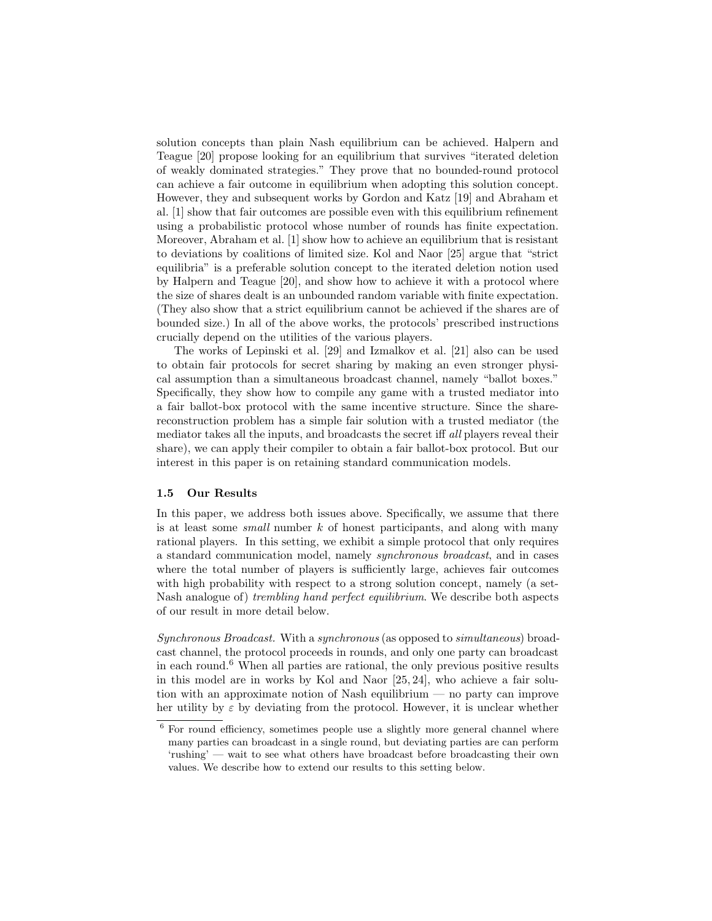solution concepts than plain Nash equilibrium can be achieved. Halpern and Teague [20] propose looking for an equilibrium that survives "iterated deletion of weakly dominated strategies." They prove that no bounded-round protocol can achieve a fair outcome in equilibrium when adopting this solution concept. However, they and subsequent works by Gordon and Katz [19] and Abraham et al. [1] show that fair outcomes are possible even with this equilibrium refinement using a probabilistic protocol whose number of rounds has finite expectation. Moreover, Abraham et al. [1] show how to achieve an equilibrium that is resistant to deviations by coalitions of limited size. Kol and Naor [25] argue that "strict equilibria" is a preferable solution concept to the iterated deletion notion used by Halpern and Teague [20], and show how to achieve it with a protocol where the size of shares dealt is an unbounded random variable with finite expectation. (They also show that a strict equilibrium cannot be achieved if the shares are of bounded size.) In all of the above works, the protocols' prescribed instructions crucially depend on the utilities of the various players.

The works of Lepinski et al. [29] and Izmalkov et al. [21] also can be used to obtain fair protocols for secret sharing by making an even stronger physical assumption than a simultaneous broadcast channel, namely "ballot boxes." Specifically, they show how to compile any game with a trusted mediator into a fair ballot-box protocol with the same incentive structure. Since the sharereconstruction problem has a simple fair solution with a trusted mediator (the mediator takes all the inputs, and broadcasts the secret iff all players reveal their share), we can apply their compiler to obtain a fair ballot-box protocol. But our interest in this paper is on retaining standard communication models.

#### 1.5 Our Results

In this paper, we address both issues above. Specifically, we assume that there is at least some *small* number  $k$  of honest participants, and along with many rational players. In this setting, we exhibit a simple protocol that only requires a standard communication model, namely synchronous broadcast, and in cases where the total number of players is sufficiently large, achieves fair outcomes with high probability with respect to a strong solution concept, namely (a set-Nash analogue of) trembling hand perfect equilibrium. We describe both aspects of our result in more detail below.

Synchronous Broadcast. With a synchronous (as opposed to simultaneous) broadcast channel, the protocol proceeds in rounds, and only one party can broadcast in each round.<sup>6</sup> When all parties are rational, the only previous positive results in this model are in works by Kol and Naor [25, 24], who achieve a fair solution with an approximate notion of Nash equilibrium — no party can improve her utility by  $\varepsilon$  by deviating from the protocol. However, it is unclear whether

 $6$  For round efficiency, sometimes people use a slightly more general channel where many parties can broadcast in a single round, but deviating parties are can perform 'rushing' — wait to see what others have broadcast before broadcasting their own values. We describe how to extend our results to this setting below.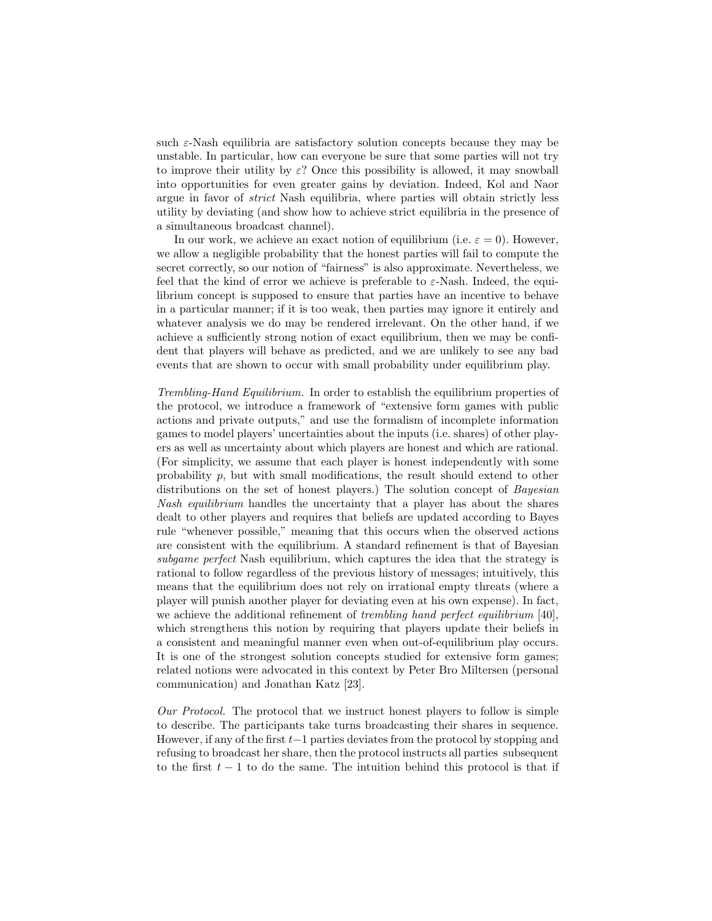such  $\varepsilon$ -Nash equilibria are satisfactory solution concepts because they may be unstable. In particular, how can everyone be sure that some parties will not try to improve their utility by  $\varepsilon$ ? Once this possibility is allowed, it may snowball into opportunities for even greater gains by deviation. Indeed, Kol and Naor argue in favor of strict Nash equilibria, where parties will obtain strictly less utility by deviating (and show how to achieve strict equilibria in the presence of a simultaneous broadcast channel).

In our work, we achieve an exact notion of equilibrium (i.e.  $\varepsilon = 0$ ). However, we allow a negligible probability that the honest parties will fail to compute the secret correctly, so our notion of "fairness" is also approximate. Nevertheless, we feel that the kind of error we achieve is preferable to  $\varepsilon$ -Nash. Indeed, the equilibrium concept is supposed to ensure that parties have an incentive to behave in a particular manner; if it is too weak, then parties may ignore it entirely and whatever analysis we do may be rendered irrelevant. On the other hand, if we achieve a sufficiently strong notion of exact equilibrium, then we may be confident that players will behave as predicted, and we are unlikely to see any bad events that are shown to occur with small probability under equilibrium play.

Trembling-Hand Equilibrium. In order to establish the equilibrium properties of the protocol, we introduce a framework of "extensive form games with public actions and private outputs," and use the formalism of incomplete information games to model players' uncertainties about the inputs (i.e. shares) of other players as well as uncertainty about which players are honest and which are rational. (For simplicity, we assume that each player is honest independently with some probability p, but with small modifications, the result should extend to other distributions on the set of honest players.) The solution concept of *Bayesian* Nash equilibrium handles the uncertainty that a player has about the shares dealt to other players and requires that beliefs are updated according to Bayes rule "whenever possible," meaning that this occurs when the observed actions are consistent with the equilibrium. A standard refinement is that of Bayesian subgame perfect Nash equilibrium, which captures the idea that the strategy is rational to follow regardless of the previous history of messages; intuitively, this means that the equilibrium does not rely on irrational empty threats (where a player will punish another player for deviating even at his own expense). In fact, we achieve the additional refinement of *trembling hand perfect equilibrium* [40], which strengthens this notion by requiring that players update their beliefs in a consistent and meaningful manner even when out-of-equilibrium play occurs. It is one of the strongest solution concepts studied for extensive form games; related notions were advocated in this context by Peter Bro Miltersen (personal communication) and Jonathan Katz [23].

Our Protocol. The protocol that we instruct honest players to follow is simple to describe. The participants take turns broadcasting their shares in sequence. However, if any of the first  $t-1$  parties deviates from the protocol by stopping and refusing to broadcast her share, then the protocol instructs all parties subsequent to the first  $t - 1$  to do the same. The intuition behind this protocol is that if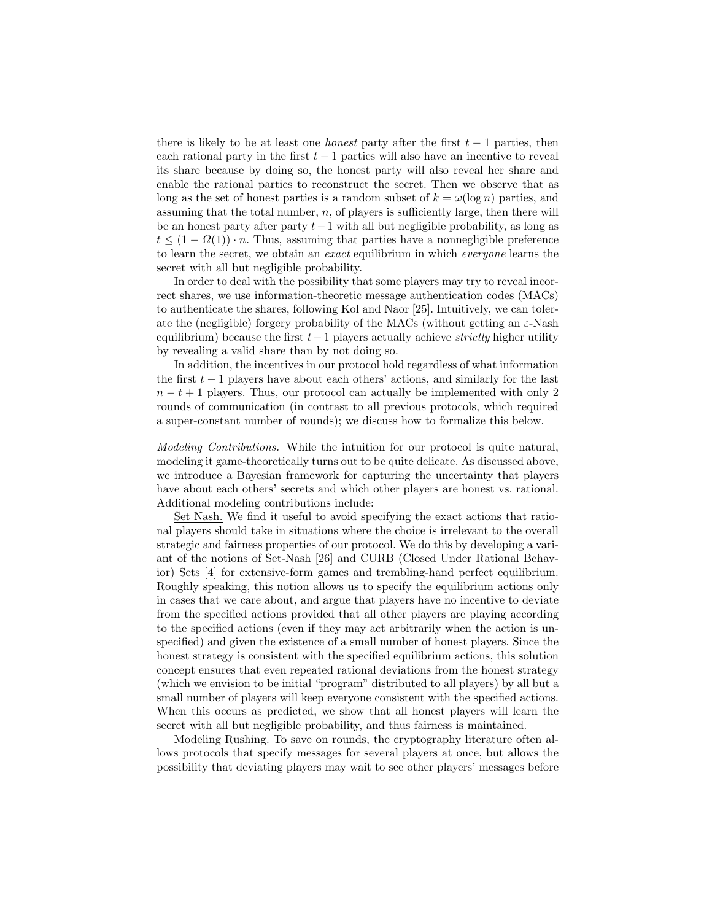there is likely to be at least one *honest* party after the first  $t - 1$  parties, then each rational party in the first  $t-1$  parties will also have an incentive to reveal its share because by doing so, the honest party will also reveal her share and enable the rational parties to reconstruct the secret. Then we observe that as long as the set of honest parties is a random subset of  $k = \omega(\log n)$  parties, and assuming that the total number,  $n$ , of players is sufficiently large, then there will be an honest party after party  $t-1$  with all but negligible probability, as long as  $t \leq (1 - \Omega(1)) \cdot n$ . Thus, assuming that parties have a nonnegligible preference to learn the secret, we obtain an exact equilibrium in which everyone learns the secret with all but negligible probability.

In order to deal with the possibility that some players may try to reveal incorrect shares, we use information-theoretic message authentication codes (MACs) to authenticate the shares, following Kol and Naor [25]. Intuitively, we can tolerate the (negligible) forgery probability of the MACs (without getting an  $\varepsilon$ -Nash equilibrium) because the first  $t-1$  players actually achieve *strictly* higher utility by revealing a valid share than by not doing so.

In addition, the incentives in our protocol hold regardless of what information the first  $t-1$  players have about each others' actions, and similarly for the last  $n - t + 1$  players. Thus, our protocol can actually be implemented with only 2 rounds of communication (in contrast to all previous protocols, which required a super-constant number of rounds); we discuss how to formalize this below.

Modeling Contributions. While the intuition for our protocol is quite natural, modeling it game-theoretically turns out to be quite delicate. As discussed above, we introduce a Bayesian framework for capturing the uncertainty that players have about each others' secrets and which other players are honest vs. rational. Additional modeling contributions include:

Set Nash. We find it useful to avoid specifying the exact actions that rational players should take in situations where the choice is irrelevant to the overall strategic and fairness properties of our protocol. We do this by developing a variant of the notions of Set-Nash [26] and CURB (Closed Under Rational Behavior) Sets [4] for extensive-form games and trembling-hand perfect equilibrium. Roughly speaking, this notion allows us to specify the equilibrium actions only in cases that we care about, and argue that players have no incentive to deviate from the specified actions provided that all other players are playing according to the specified actions (even if they may act arbitrarily when the action is unspecified) and given the existence of a small number of honest players. Since the honest strategy is consistent with the specified equilibrium actions, this solution concept ensures that even repeated rational deviations from the honest strategy (which we envision to be initial "program" distributed to all players) by all but a small number of players will keep everyone consistent with the specified actions. When this occurs as predicted, we show that all honest players will learn the secret with all but negligible probability, and thus fairness is maintained.

Modeling Rushing. To save on rounds, the cryptography literature often allows protocols that specify messages for several players at once, but allows the possibility that deviating players may wait to see other players' messages before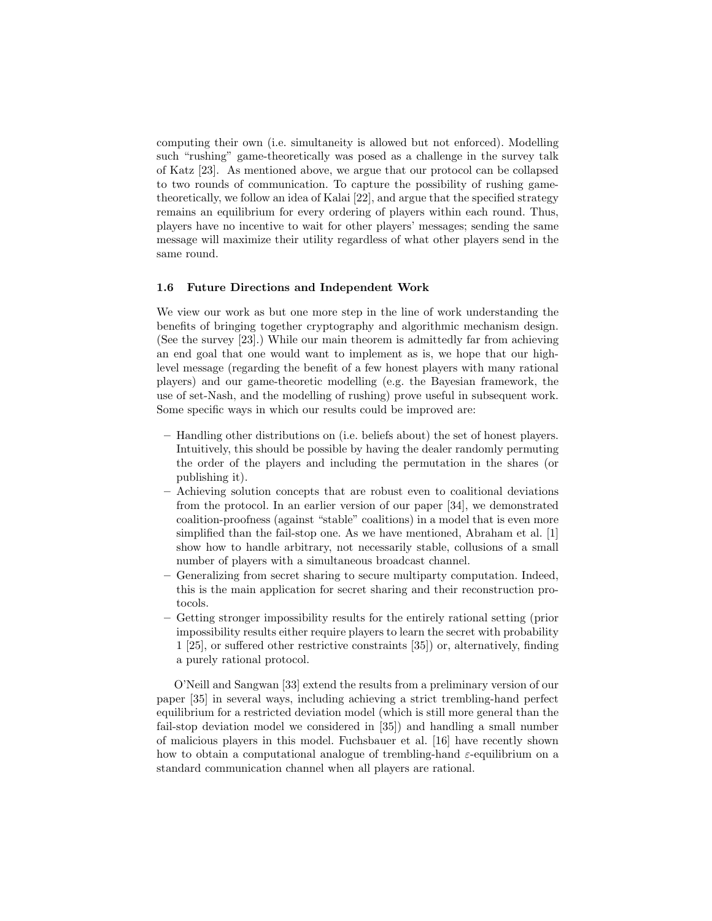computing their own (i.e. simultaneity is allowed but not enforced). Modelling such "rushing" game-theoretically was posed as a challenge in the survey talk of Katz [23]. As mentioned above, we argue that our protocol can be collapsed to two rounds of communication. To capture the possibility of rushing gametheoretically, we follow an idea of Kalai [22], and argue that the specified strategy remains an equilibrium for every ordering of players within each round. Thus, players have no incentive to wait for other players' messages; sending the same message will maximize their utility regardless of what other players send in the same round.

### 1.6 Future Directions and Independent Work

We view our work as but one more step in the line of work understanding the benefits of bringing together cryptography and algorithmic mechanism design. (See the survey [23].) While our main theorem is admittedly far from achieving an end goal that one would want to implement as is, we hope that our highlevel message (regarding the benefit of a few honest players with many rational players) and our game-theoretic modelling (e.g. the Bayesian framework, the use of set-Nash, and the modelling of rushing) prove useful in subsequent work. Some specific ways in which our results could be improved are:

- Handling other distributions on (i.e. beliefs about) the set of honest players. Intuitively, this should be possible by having the dealer randomly permuting the order of the players and including the permutation in the shares (or publishing it).
- Achieving solution concepts that are robust even to coalitional deviations from the protocol. In an earlier version of our paper [34], we demonstrated coalition-proofness (against "stable" coalitions) in a model that is even more simplified than the fail-stop one. As we have mentioned, Abraham et al. [1] show how to handle arbitrary, not necessarily stable, collusions of a small number of players with a simultaneous broadcast channel.
- Generalizing from secret sharing to secure multiparty computation. Indeed, this is the main application for secret sharing and their reconstruction protocols.
- Getting stronger impossibility results for the entirely rational setting (prior impossibility results either require players to learn the secret with probability 1 [25], or suffered other restrictive constraints [35]) or, alternatively, finding a purely rational protocol.

O'Neill and Sangwan [33] extend the results from a preliminary version of our paper [35] in several ways, including achieving a strict trembling-hand perfect equilibrium for a restricted deviation model (which is still more general than the fail-stop deviation model we considered in [35]) and handling a small number of malicious players in this model. Fuchsbauer et al. [16] have recently shown how to obtain a computational analogue of trembling-hand  $\varepsilon$ -equilibrium on a standard communication channel when all players are rational.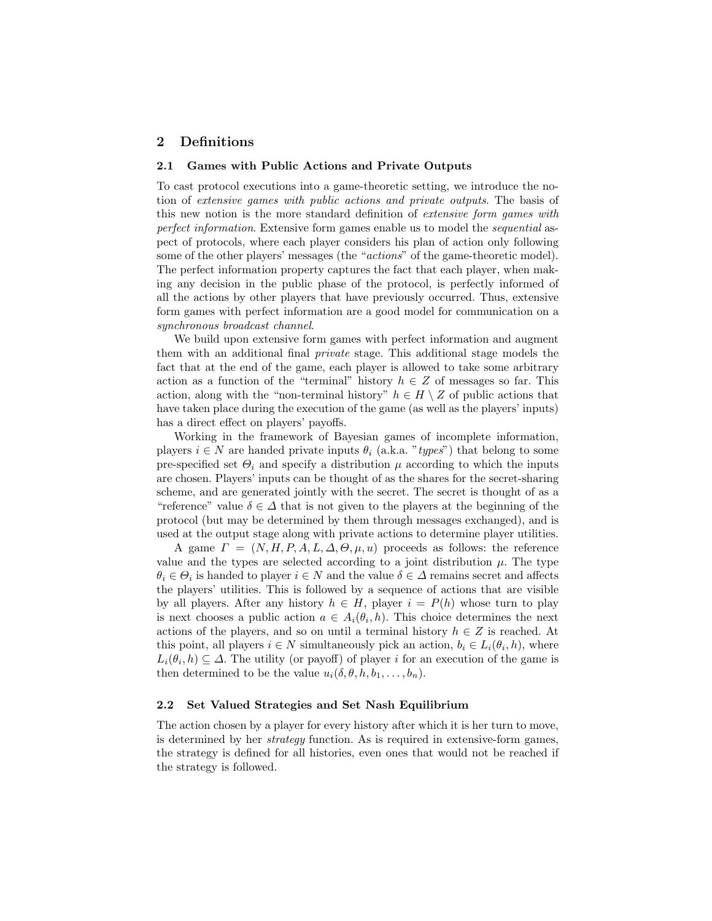# 2 Definitions

# 2.1 Games with Public Actions and Private Outputs

To cast protocol executions into a game-theoretic setting, we introduce the notion of extensive games with public actions and private outputs. The basis of this new notion is the more standard definition of extensive form games with perfect information. Extensive form games enable us to model the sequential aspect of protocols, where each player considers his plan of action only following some of the other players' messages (the "*actions*" of the game-theoretic model). The perfect information property captures the fact that each player, when making any decision in the public phase of the protocol, is perfectly informed of all the actions by other players that have previously occurred. Thus, extensive form games with perfect information are a good model for communication on a synchronous broadcast channel.

We build upon extensive form games with perfect information and augment them with an additional final private stage. This additional stage models the fact that at the end of the game, each player is allowed to take some arbitrary action as a function of the "terminal" history  $h \in \mathbb{Z}$  of messages so far. This action, along with the "non-terminal history"  $h \in H \setminus Z$  of public actions that have taken place during the execution of the game (as well as the players' inputs) has a direct effect on players' payoffs.

Working in the framework of Bayesian games of incomplete information, players  $i \in N$  are handed private inputs  $\theta_i$  (a.k.a. "types") that belong to some pre-specified set  $\Theta_i$  and specify a distribution  $\mu$  according to which the inputs are chosen. Players' inputs can be thought of as the shares for the secret-sharing scheme, and are generated jointly with the secret. The secret is thought of as a "reference" value  $\delta \in \Delta$  that is not given to the players at the beginning of the protocol (but may be determined by them through messages exchanged), and is used at the output stage along with private actions to determine player utilities.

A game  $\Gamma = (N, H, P, A, L, \Delta, \Theta, \mu, u)$  proceeds as follows: the reference value and the types are selected according to a joint distribution  $\mu$ . The type  $\theta_i \in \Theta_i$  is handed to player  $i \in N$  and the value  $\delta \in \Delta$  remains secret and affects the players' utilities. This is followed by a sequence of actions that are visible by all players. After any history  $h \in H$ , player  $i = P(h)$  whose turn to play is next chooses a public action  $a \in A_i(\theta_i, h)$ . This choice determines the next actions of the players, and so on until a terminal history  $h \in \mathbb{Z}$  is reached. At this point, all players  $i \in N$  simultaneously pick an action,  $b_i \in L_i(\theta_i, h)$ , where  $L_i(\theta_i, h) \subseteq \Delta$ . The utility (or payoff) of player i for an execution of the game is then determined to be the value  $u_i(\delta, \theta, h, b_1, \ldots, b_n)$ .

### 2.2 Set Valued Strategies and Set Nash Equilibrium

The action chosen by a player for every history after which it is her turn to move, is determined by her strategy function. As is required in extensive-form games, the strategy is defined for all histories, even ones that would not be reached if the strategy is followed.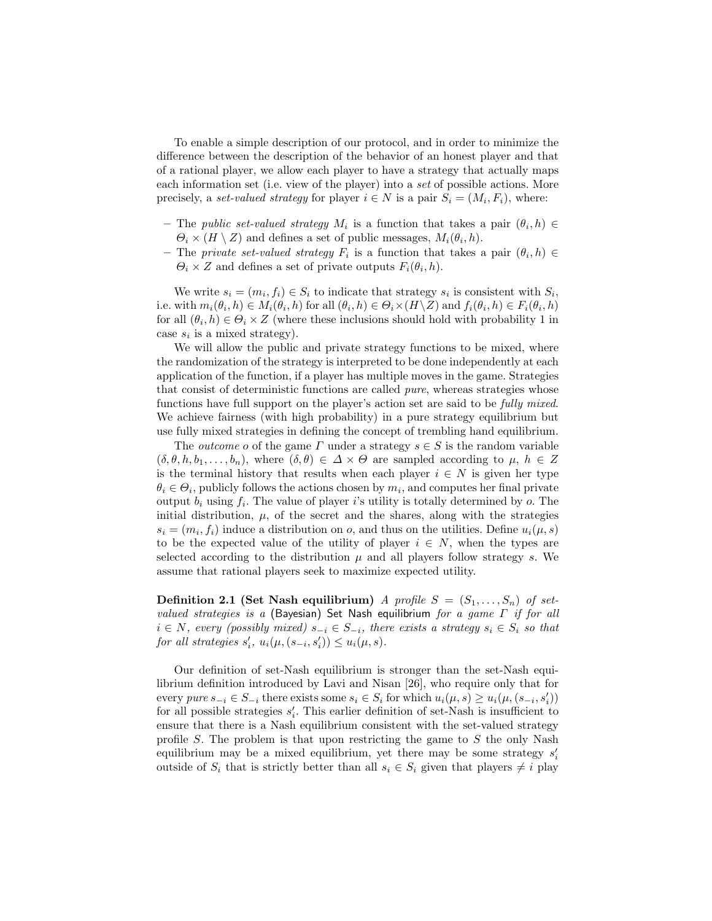To enable a simple description of our protocol, and in order to minimize the difference between the description of the behavior of an honest player and that of a rational player, we allow each player to have a strategy that actually maps each information set (i.e. view of the player) into a set of possible actions. More precisely, a set-valued strategy for player  $i \in N$  is a pair  $S_i = (M_i, F_i)$ , where:

- The public set-valued strategy  $M_i$  is a function that takes a pair  $(\theta_i, h) \in$  $\Theta_i \times (H \setminus Z)$  and defines a set of public messages,  $M_i(\theta_i, h)$ .
- The private set-valued strategy  $F_i$  is a function that takes a pair  $(\theta_i, h) \in$  $\Theta_i \times Z$  and defines a set of private outputs  $F_i(\theta_i, h)$ .

We write  $s_i = (m_i, f_i) \in S_i$  to indicate that strategy  $s_i$  is consistent with  $S_i$ , i.e. with  $m_i(\theta_i, h) \in M_i(\theta_i, h)$  for all  $(\theta_i, h) \in \Theta_i \times (H \setminus Z)$  and  $f_i(\theta_i, h) \in F_i(\theta_i, h)$ for all  $(\theta_i, h) \in \Theta_i \times Z$  (where these inclusions should hold with probability 1 in case  $s_i$  is a mixed strategy).

We will allow the public and private strategy functions to be mixed, where the randomization of the strategy is interpreted to be done independently at each application of the function, if a player has multiple moves in the game. Strategies that consist of deterministic functions are called pure, whereas strategies whose functions have full support on the player's action set are said to be *fully mixed*. We achieve fairness (with high probability) in a pure strategy equilibrium but use fully mixed strategies in defining the concept of trembling hand equilibrium.

The *outcome* o of the game  $\Gamma$  under a strategy  $s \in S$  is the random variable  $(\delta, \theta, h, b_1, \ldots, b_n)$ , where  $(\delta, \theta) \in \Delta \times \Theta$  are sampled according to  $\mu, h \in \mathbb{Z}$ is the terminal history that results when each player  $i \in N$  is given her type  $\theta_i \in \Theta_i$ , publicly follows the actions chosen by  $m_i$ , and computes her final private output  $b_i$  using  $f_i$ . The value of player i's utility is totally determined by o. The initial distribution,  $\mu$ , of the secret and the shares, along with the strategies  $s_i = (m_i, f_i)$  induce a distribution on o, and thus on the utilities. Define  $u_i(\mu, s)$ to be the expected value of the utility of player  $i \in N$ , when the types are selected according to the distribution  $\mu$  and all players follow strategy s. We assume that rational players seek to maximize expected utility.

**Definition 2.1 (Set Nash equilibrium)** A profile  $S = (S_1, \ldots, S_n)$  of setvalued strategies is a (Bayesian) Set Nash equilibrium for a game  $\Gamma$  if for all  $i \in N$ , every (possibly mixed)  $s_{-i} \in S_{-i}$ , there exists a strategy  $s_i \in S_i$  so that for all strategies  $s_i', u_i(\mu, (s_{-i}, s_i')) \leq u_i(\mu, s)$ .

Our definition of set-Nash equilibrium is stronger than the set-Nash equilibrium definition introduced by Lavi and Nisan [26], who require only that for every pure  $s_{-i} \in S_{-i}$  there exists some  $s_i \in S_i$  for which  $u_i(\mu, s) \geq u_i(\mu, (s_{-i}, s'_i))$ for all possible strategies  $s_i'$ . This earlier definition of set-Nash is insufficient to ensure that there is a Nash equilibrium consistent with the set-valued strategy profile S. The problem is that upon restricting the game to S the only Nash equilibrium may be a mixed equilibrium, yet there may be some strategy  $s_i'$ outside of  $S_i$  that is strictly better than all  $s_i \in S_i$  given that players  $\neq i$  play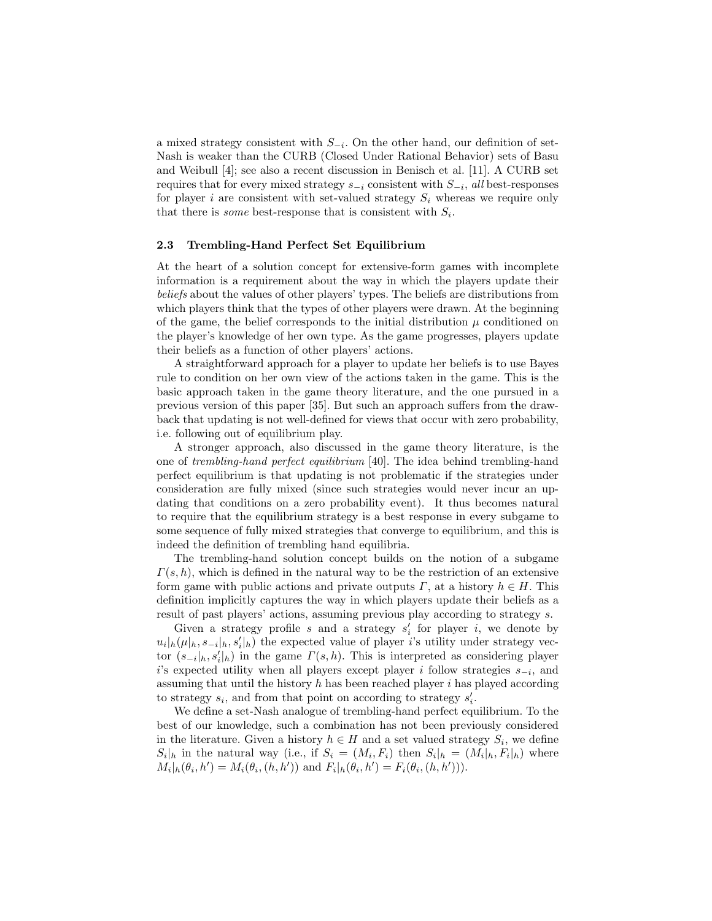a mixed strategy consistent with  $S_{-i}$ . On the other hand, our definition of set-Nash is weaker than the CURB (Closed Under Rational Behavior) sets of Basu and Weibull [4]; see also a recent discussion in Benisch et al. [11]. A CURB set requires that for every mixed strategy  $s_{-i}$  consistent with  $S_{-i}$ , all best-responses for player i are consistent with set-valued strategy  $S_i$  whereas we require only that there is *some* best-response that is consistent with  $S_i$ .

#### 2.3 Trembling-Hand Perfect Set Equilibrium

At the heart of a solution concept for extensive-form games with incomplete information is a requirement about the way in which the players update their beliefs about the values of other players' types. The beliefs are distributions from which players think that the types of other players were drawn. At the beginning of the game, the belief corresponds to the initial distribution  $\mu$  conditioned on the player's knowledge of her own type. As the game progresses, players update their beliefs as a function of other players' actions.

A straightforward approach for a player to update her beliefs is to use Bayes rule to condition on her own view of the actions taken in the game. This is the basic approach taken in the game theory literature, and the one pursued in a previous version of this paper [35]. But such an approach suffers from the drawback that updating is not well-defined for views that occur with zero probability, i.e. following out of equilibrium play.

A stronger approach, also discussed in the game theory literature, is the one of trembling-hand perfect equilibrium [40]. The idea behind trembling-hand perfect equilibrium is that updating is not problematic if the strategies under consideration are fully mixed (since such strategies would never incur an updating that conditions on a zero probability event). It thus becomes natural to require that the equilibrium strategy is a best response in every subgame to some sequence of fully mixed strategies that converge to equilibrium, and this is indeed the definition of trembling hand equilibria.

The trembling-hand solution concept builds on the notion of a subgame  $\Gamma(s, h)$ , which is defined in the natural way to be the restriction of an extensive form game with public actions and private outputs  $\Gamma$ , at a history  $h \in H$ . This definition implicitly captures the way in which players update their beliefs as a result of past players' actions, assuming previous play according to strategy s.

Given a strategy profile  $s$  and a strategy  $s_i'$  for player i, we denote by  $u_i|_h(\mu|_h, s_{-i}|_h, s'_i|_h)$  the expected value of player i's utility under strategy vector  $(s_{-i}|_h, s'_i|_h)$  in the game  $\Gamma(s, h)$ . This is interpreted as considering player i's expected utility when all players except player i follow strategies  $s_{-i}$ , and assuming that until the history  $h$  has been reached player  $i$  has played according to strategy  $s_i$ , and from that point on according to strategy  $s'_i$ .

We define a set-Nash analogue of trembling-hand perfect equilibrium. To the best of our knowledge, such a combination has not been previously considered in the literature. Given a history  $h \in H$  and a set valued strategy  $S_i$ , we define  $S_i|_h$  in the natural way (i.e., if  $S_i = (M_i, F_i)$  then  $S_i|_h = (M_i|_h, F_i|_h)$  where  $M_i|_h(\theta_i, h') = M_i(\theta_i, (h, h'))$  and  $F_i|_h(\theta_i, h') = F_i(\theta_i, (h, h'))$ .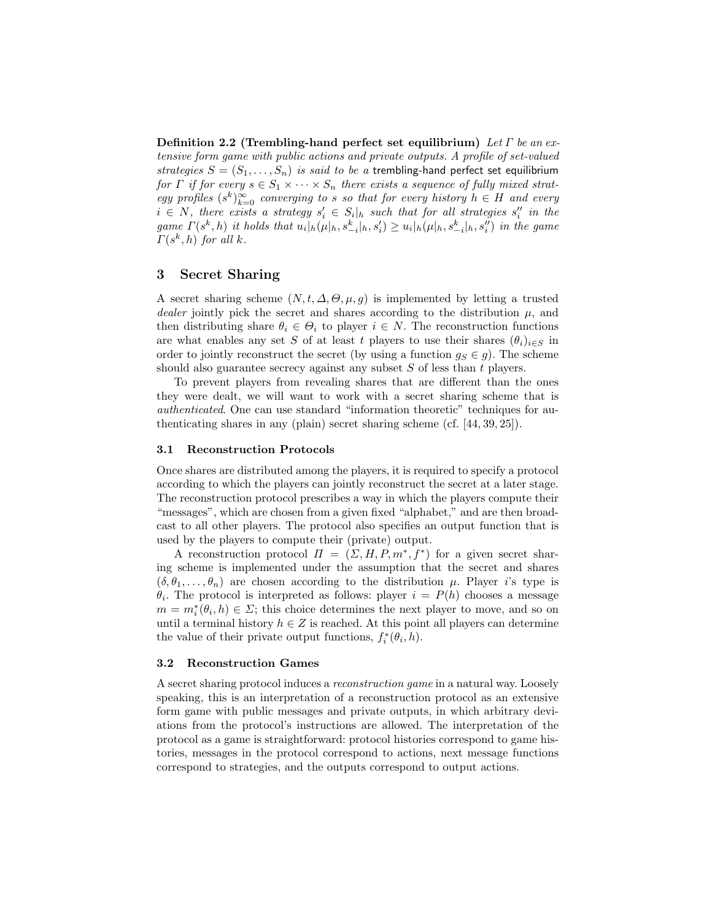Definition 2.2 (Trembling-hand perfect set equilibrium) Let  $\Gamma$  be an extensive form game with public actions and private outputs. A profile of set-valued strategies  $S = (S_1, \ldots, S_n)$  is said to be a trembling-hand perfect set equilibrium for  $\Gamma$  if for every  $s \in S_1 \times \cdots \times S_n$  there exists a sequence of fully mixed strategy profiles  $(s^k)_{k=0}^{\infty}$  converging to s so that for every history  $h \in H$  and every  $i \in N$ , there exists a strategy  $s'_i \in S_i|_h$  such that for all strategies  $s''_i$  in the game  $\Gamma(s^k, h)$  it holds that  $u_i|_h(\mu|_h, s_{-i}^k|_h, s_i') \geq u_i|_h(\mu|_h, s_{-i}^k|_h, s_i'')$  in the game  $\Gamma(s^k, h)$  for all k.

# 3 Secret Sharing

A secret sharing scheme  $(N, t, \Delta, \Theta, \mu, g)$  is implemented by letting a trusted dealer jointly pick the secret and shares according to the distribution  $\mu$ , and then distributing share  $\theta_i \in \Theta_i$  to player  $i \in N$ . The reconstruction functions are what enables any set S of at least t players to use their shares  $(\theta_i)_{i\in S}$  in order to jointly reconstruct the secret (by using a function  $g_S \in g$ ). The scheme should also guarantee secrecy against any subset  $S$  of less than  $t$  players.

To prevent players from revealing shares that are different than the ones they were dealt, we will want to work with a secret sharing scheme that is authenticated. One can use standard "information theoretic" techniques for authenticating shares in any (plain) secret sharing scheme (cf. [44, 39, 25]).

### 3.1 Reconstruction Protocols

Once shares are distributed among the players, it is required to specify a protocol according to which the players can jointly reconstruct the secret at a later stage. The reconstruction protocol prescribes a way in which the players compute their "messages", which are chosen from a given fixed "alphabet," and are then broadcast to all other players. The protocol also specifies an output function that is used by the players to compute their (private) output.

A reconstruction protocol  $\Pi = (\Sigma, H, P, m^*, f^*)$  for a given secret sharing scheme is implemented under the assumption that the secret and shares  $(\delta, \theta_1, \ldots, \theta_n)$  are chosen according to the distribution  $\mu$ . Player *i*'s type is  $\theta_i$ . The protocol is interpreted as follows: player  $i = P(h)$  chooses a message  $m = m_i^*(\theta_i, h) \in \Sigma$ ; this choice determines the next player to move, and so on until a terminal history  $h \in \mathbb{Z}$  is reached. At this point all players can determine the value of their private output functions,  $f_i^*(\theta_i, h)$ .

### 3.2 Reconstruction Games

A secret sharing protocol induces a reconstruction game in a natural way. Loosely speaking, this is an interpretation of a reconstruction protocol as an extensive form game with public messages and private outputs, in which arbitrary deviations from the protocol's instructions are allowed. The interpretation of the protocol as a game is straightforward: protocol histories correspond to game histories, messages in the protocol correspond to actions, next message functions correspond to strategies, and the outputs correspond to output actions.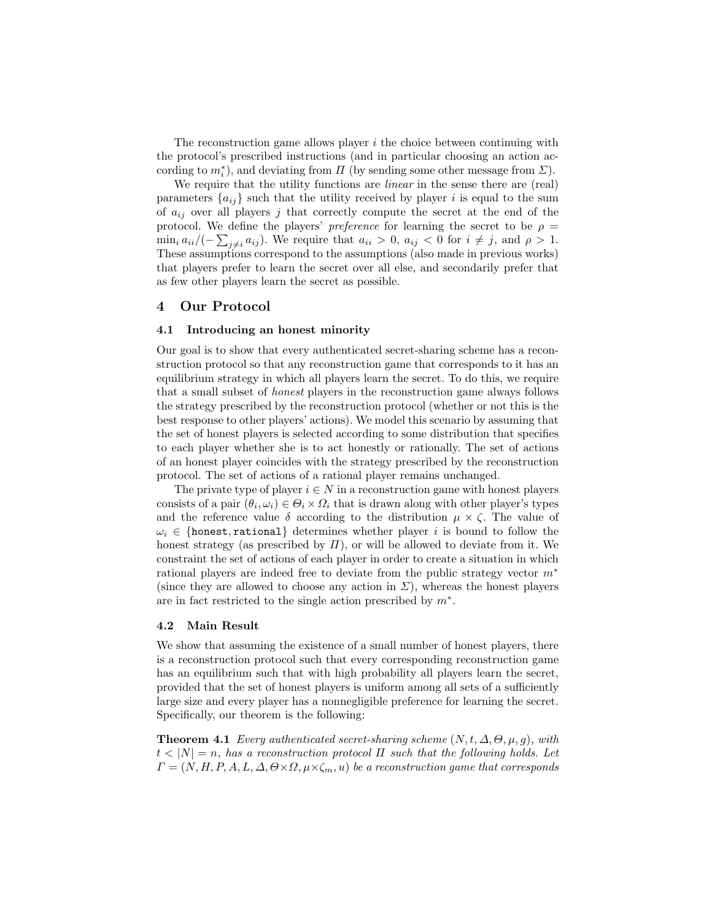The reconstruction game allows player i the choice between continuing with the protocol's prescribed instructions (and in particular choosing an action according to  $m_i^*$ ), and deviating from  $\Pi$  (by sending some other message from  $\Sigma$ ).

We require that the utility functions are *linear* in the sense there are (real) parameters  $\{a_{ij}\}\$  such that the utility received by player i is equal to the sum of  $a_{ij}$  over all players j that correctly compute the secret at the end of the protocol. We define the players' preference for learning the secret to be  $\rho =$  $\min_i a_{ii}/(-\sum_{j\neq i} a_{ij})$ . We require that  $a_{ii} > 0$ ,  $a_{ij} < 0$  for  $i \neq j$ , and  $\rho > 1$ . These assumptions correspond to the assumptions (also made in previous works) that players prefer to learn the secret over all else, and secondarily prefer that as few other players learn the secret as possible.

# 4 Our Protocol

#### 4.1 Introducing an honest minority

Our goal is to show that every authenticated secret-sharing scheme has a reconstruction protocol so that any reconstruction game that corresponds to it has an equilibrium strategy in which all players learn the secret. To do this, we require that a small subset of honest players in the reconstruction game always follows the strategy prescribed by the reconstruction protocol (whether or not this is the best response to other players' actions). We model this scenario by assuming that the set of honest players is selected according to some distribution that specifies to each player whether she is to act honestly or rationally. The set of actions of an honest player coincides with the strategy prescribed by the reconstruction protocol. The set of actions of a rational player remains unchanged.

The private type of player  $i \in N$  in a reconstruction game with honest players consists of a pair  $(\theta_i, \omega_i) \in \Theta_i \times \Omega_i$  that is drawn along with other player's types and the reference value  $\delta$  according to the distribution  $\mu \times \zeta$ . The value of  $\omega_i \in \{\text{honest}, \text{rational}\}\$  determines whether player i is bound to follow the honest strategy (as prescribed by  $\Pi$ ), or will be allowed to deviate from it. We constraint the set of actions of each player in order to create a situation in which rational players are indeed free to deviate from the public strategy vector m<sup>∗</sup> (since they are allowed to choose any action in  $\Sigma$ ), whereas the honest players are in fact restricted to the single action prescribed by  $m^*$ .

### 4.2 Main Result

We show that assuming the existence of a small number of honest players, there is a reconstruction protocol such that every corresponding reconstruction game has an equilibrium such that with high probability all players learn the secret, provided that the set of honest players is uniform among all sets of a sufficiently large size and every player has a nonnegligible preference for learning the secret. Specifically, our theorem is the following:

**Theorem 4.1** Every authenticated secret-sharing scheme  $(N, t, \Delta, \Theta, \mu, q)$ , with  $t < |N| = n$ , has a reconstruction protocol  $\Pi$  such that the following holds. Let  $\Gamma = (N, H, P, A, L, \Delta, \Theta \times \Omega, \mu \times \zeta_m, u)$  be a reconstruction game that corresponds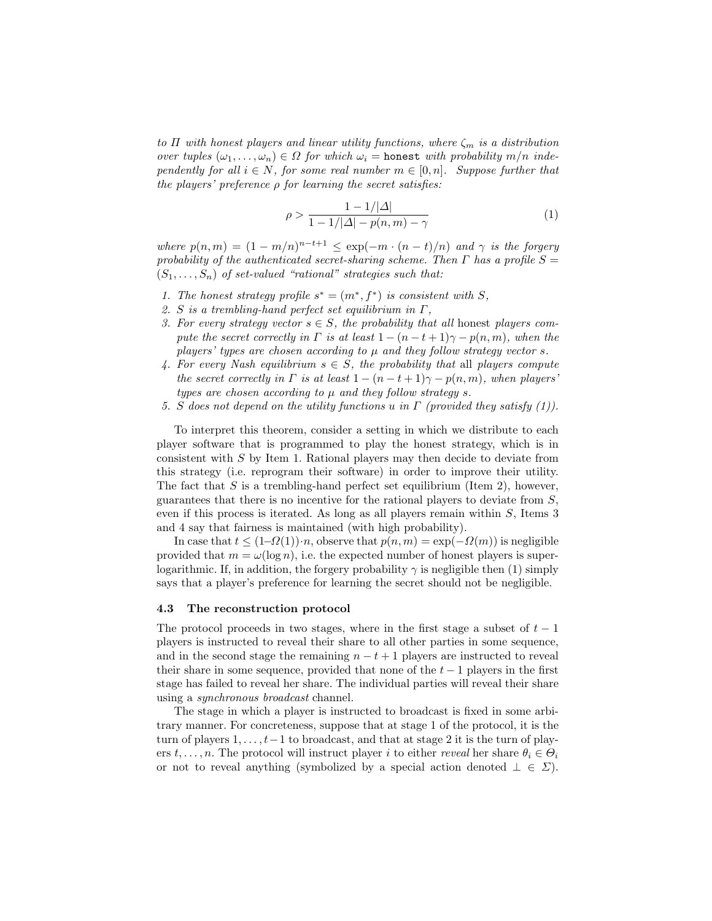to  $\Pi$  with honest players and linear utility functions, where  $\zeta_m$  is a distribution over tuples  $(\omega_1, \ldots, \omega_n) \in \Omega$  for which  $\omega_i =$  honest with probability  $m/n$  independently for all  $i \in N$ , for some real number  $m \in [0,n]$ . Suppose further that the players' preference  $\rho$  for learning the secret satisfies:

$$
\rho > \frac{1 - 1/|\Delta|}{1 - 1/|\Delta| - p(n, m) - \gamma} \tag{1}
$$

where  $p(n,m) = (1 - m/n)^{n-t+1} \leq \exp(-m \cdot (n-t)/n)$  and  $\gamma$  is the forgery probability of the authenticated secret-sharing scheme. Then  $\Gamma$  has a profile  $S =$  $(S_1, \ldots, S_n)$  of set-valued "rational" strategies such that:

- 1. The honest strategy profile  $s^* = (m^*, f^*)$  is consistent with S,
- 2. S is a trembling-hand perfect set equilibrium in  $\Gamma$ ,
- 3. For every strategy vector  $s \in S$ , the probability that all honest players compute the secret correctly in  $\Gamma$  is at least  $1 - (n - t + 1)\gamma - p(n, m)$ , when the players' types are chosen according to  $\mu$  and they follow strategy vector s.
- 4. For every Nash equilibrium  $s \in S$ , the probability that all players compute the secret correctly in  $\Gamma$  is at least  $1 - (n - t + 1)\gamma - p(n, m)$ , when players' types are chosen according to  $\mu$  and they follow strategy s.
- 5. S does not depend on the utility functions u in  $\Gamma$  (provided they satisfy (1)).

To interpret this theorem, consider a setting in which we distribute to each player software that is programmed to play the honest strategy, which is in consistent with S by Item 1. Rational players may then decide to deviate from this strategy (i.e. reprogram their software) in order to improve their utility. The fact that  $S$  is a trembling-hand perfect set equilibrium (Item 2), however, guarantees that there is no incentive for the rational players to deviate from  $S$ , even if this process is iterated. As long as all players remain within S, Items 3 and 4 say that fairness is maintained (with high probability).

In case that  $t \leq (1-\Omega(1))\cdot n$ , observe that  $p(n,m) = \exp(-\Omega(m))$  is negligible provided that  $m = \omega(\log n)$ , i.e. the expected number of honest players is superlogarithmic. If, in addition, the forgery probability  $\gamma$  is negligible then (1) simply says that a player's preference for learning the secret should not be negligible.

### 4.3 The reconstruction protocol

The protocol proceeds in two stages, where in the first stage a subset of  $t - 1$ players is instructed to reveal their share to all other parties in some sequence, and in the second stage the remaining  $n - t + 1$  players are instructed to reveal their share in some sequence, provided that none of the  $t - 1$  players in the first stage has failed to reveal her share. The individual parties will reveal their share using a synchronous broadcast channel.

The stage in which a player is instructed to broadcast is fixed in some arbitrary manner. For concreteness, suppose that at stage 1 of the protocol, it is the turn of players  $1, \ldots, t-1$  to broadcast, and that at stage 2 it is the turn of players  $t, \ldots, n$ . The protocol will instruct player i to either reveal her share  $\theta_i \in \Theta_i$ or not to reveal anything (symbolized by a special action denoted  $\bot \in \Sigma$ ).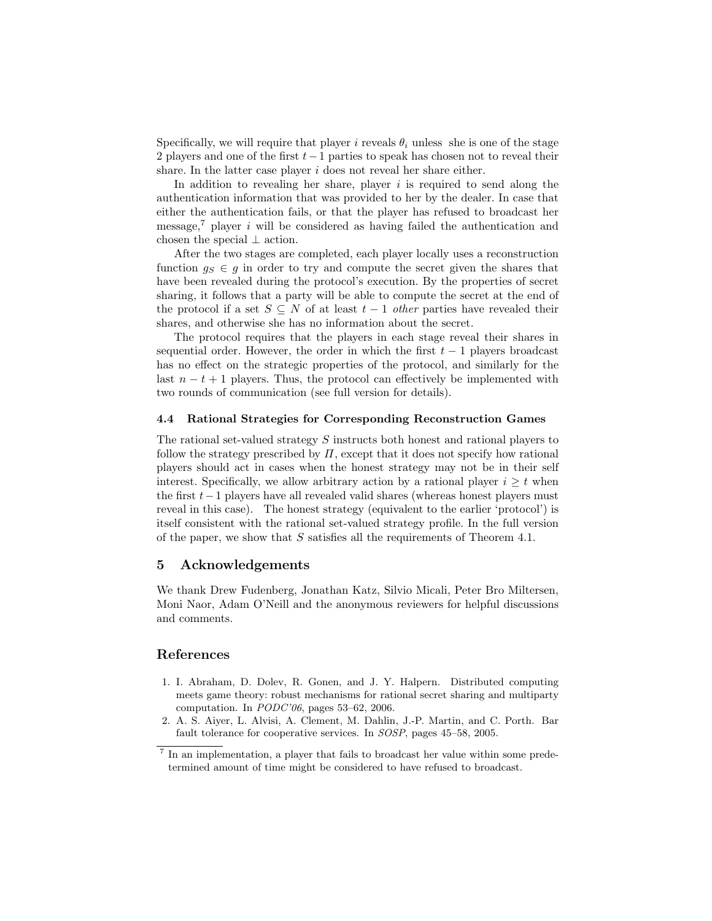Specifically, we will require that player i reveals  $\theta_i$  unless she is one of the stage 2 players and one of the first  $t-1$  parties to speak has chosen not to reveal their share. In the latter case player  $i$  does not reveal her share either.

In addition to revealing her share, player  $i$  is required to send along the authentication information that was provided to her by the dealer. In case that either the authentication fails, or that the player has refused to broadcast her message,<sup>7</sup> player *i* will be considered as having failed the authentication and chosen the special  $\perp$  action.

After the two stages are completed, each player locally uses a reconstruction function  $g_S \in g$  in order to try and compute the secret given the shares that have been revealed during the protocol's execution. By the properties of secret sharing, it follows that a party will be able to compute the secret at the end of the protocol if a set  $S \subseteq N$  of at least  $t-1$  *other* parties have revealed their shares, and otherwise she has no information about the secret.

The protocol requires that the players in each stage reveal their shares in sequential order. However, the order in which the first  $t - 1$  players broadcast has no effect on the strategic properties of the protocol, and similarly for the last  $n - t + 1$  players. Thus, the protocol can effectively be implemented with two rounds of communication (see full version for details).

#### 4.4 Rational Strategies for Corresponding Reconstruction Games

The rational set-valued strategy S instructs both honest and rational players to follow the strategy prescribed by  $\Pi$ , except that it does not specify how rational players should act in cases when the honest strategy may not be in their self interest. Specifically, we allow arbitrary action by a rational player  $i \geq t$  when the first t−1 players have all revealed valid shares (whereas honest players must reveal in this case). The honest strategy (equivalent to the earlier 'protocol') is itself consistent with the rational set-valued strategy profile. In the full version of the paper, we show that  $S$  satisfies all the requirements of Theorem 4.1.

# 5 Acknowledgements

We thank Drew Fudenberg, Jonathan Katz, Silvio Micali, Peter Bro Miltersen, Moni Naor, Adam O'Neill and the anonymous reviewers for helpful discussions and comments.

# References

- 1. I. Abraham, D. Dolev, R. Gonen, and J. Y. Halpern. Distributed computing meets game theory: robust mechanisms for rational secret sharing and multiparty computation. In PODC'06, pages 53–62, 2006.
- 2. A. S. Aiyer, L. Alvisi, A. Clement, M. Dahlin, J.-P. Martin, and C. Porth. Bar fault tolerance for cooperative services. In SOSP, pages 45–58, 2005.

<sup>&</sup>lt;sup>7</sup> In an implementation, a player that fails to broadcast her value within some predetermined amount of time might be considered to have refused to broadcast.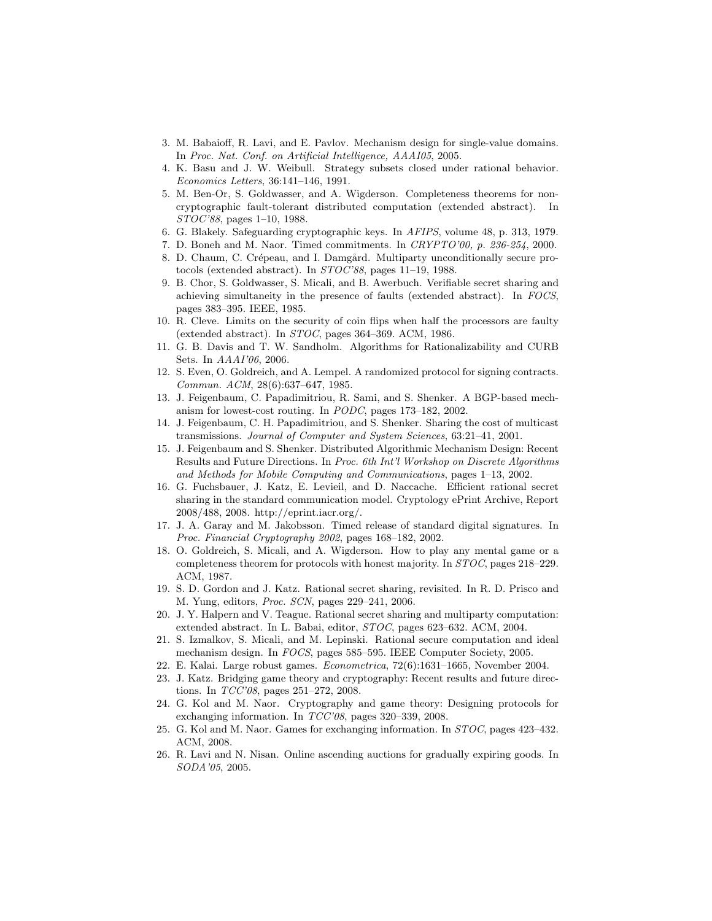- 3. M. Babaioff, R. Lavi, and E. Pavlov. Mechanism design for single-value domains. In Proc. Nat. Conf. on Artificial Intelligence, AAAI05, 2005.
- 4. K. Basu and J. W. Weibull. Strategy subsets closed under rational behavior. Economics Letters, 36:141–146, 1991.
- 5. M. Ben-Or, S. Goldwasser, and A. Wigderson. Completeness theorems for noncryptographic fault-tolerant distributed computation (extended abstract). In STOC'88, pages 1–10, 1988.
- 6. G. Blakely. Safeguarding cryptographic keys. In AFIPS, volume 48, p. 313, 1979.
- 7. D. Boneh and M. Naor. Timed commitments. In CRYPTO'00, p. 236-254, 2000.
- 8. D. Chaum, C. Crépeau, and I. Damgård. Multiparty unconditionally secure protocols (extended abstract). In STOC'88, pages 11–19, 1988.
- 9. B. Chor, S. Goldwasser, S. Micali, and B. Awerbuch. Verifiable secret sharing and achieving simultaneity in the presence of faults (extended abstract). In FOCS, pages 383–395. IEEE, 1985.
- 10. R. Cleve. Limits on the security of coin flips when half the processors are faulty (extended abstract). In STOC, pages 364–369. ACM, 1986.
- 11. G. B. Davis and T. W. Sandholm. Algorithms for Rationalizability and CURB Sets. In AAAI'06, 2006.
- 12. S. Even, O. Goldreich, and A. Lempel. A randomized protocol for signing contracts. Commun. ACM, 28(6):637–647, 1985.
- 13. J. Feigenbaum, C. Papadimitriou, R. Sami, and S. Shenker. A BGP-based mechanism for lowest-cost routing. In PODC, pages 173–182, 2002.
- 14. J. Feigenbaum, C. H. Papadimitriou, and S. Shenker. Sharing the cost of multicast transmissions. Journal of Computer and System Sciences, 63:21–41, 2001.
- 15. J. Feigenbaum and S. Shenker. Distributed Algorithmic Mechanism Design: Recent Results and Future Directions. In Proc. 6th Int'l Workshop on Discrete Algorithms and Methods for Mobile Computing and Communications, pages 1–13, 2002.
- 16. G. Fuchsbauer, J. Katz, E. Levieil, and D. Naccache. Efficient rational secret sharing in the standard communication model. Cryptology ePrint Archive, Report 2008/488, 2008. http://eprint.iacr.org/.
- 17. J. A. Garay and M. Jakobsson. Timed release of standard digital signatures. In Proc. Financial Cryptography 2002, pages 168–182, 2002.
- 18. O. Goldreich, S. Micali, and A. Wigderson. How to play any mental game or a completeness theorem for protocols with honest majority. In STOC, pages 218–229. ACM, 1987.
- 19. S. D. Gordon and J. Katz. Rational secret sharing, revisited. In R. D. Prisco and M. Yung, editors, Proc. SCN, pages 229–241, 2006.
- 20. J. Y. Halpern and V. Teague. Rational secret sharing and multiparty computation: extended abstract. In L. Babai, editor, STOC, pages 623–632. ACM, 2004.
- 21. S. Izmalkov, S. Micali, and M. Lepinski. Rational secure computation and ideal mechanism design. In FOCS, pages 585–595. IEEE Computer Society, 2005.
- 22. E. Kalai. Large robust games. Econometrica, 72(6):1631–1665, November 2004.
- 23. J. Katz. Bridging game theory and cryptography: Recent results and future directions. In TCC'08, pages 251–272, 2008.
- 24. G. Kol and M. Naor. Cryptography and game theory: Designing protocols for exchanging information. In TCC'08, pages 320–339, 2008.
- 25. G. Kol and M. Naor. Games for exchanging information. In STOC, pages 423–432. ACM, 2008.
- 26. R. Lavi and N. Nisan. Online ascending auctions for gradually expiring goods. In SODA'05, 2005.